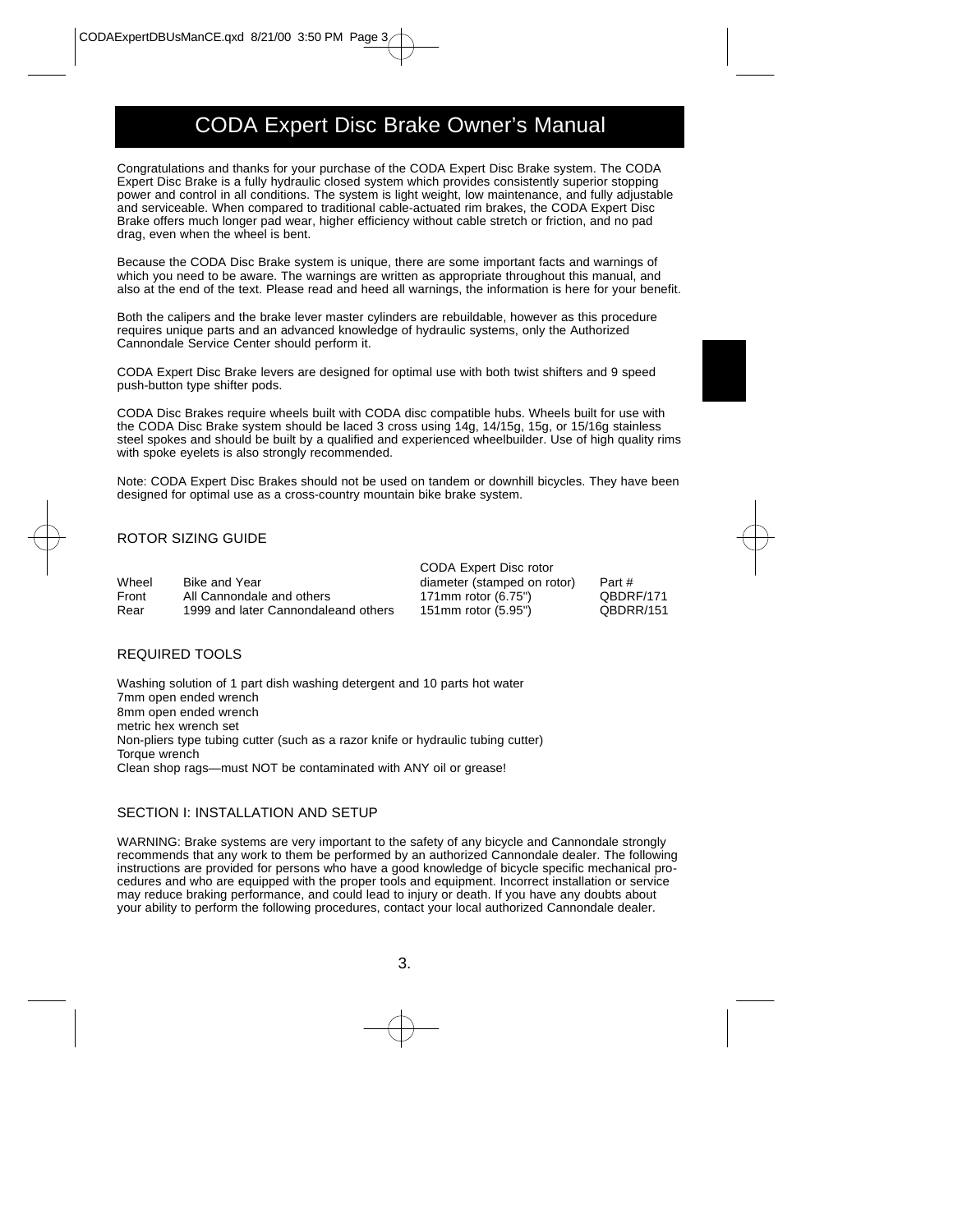# CODA Expert Disc Brake Owner's Manual

Congratulations and thanks for your purchase of the CODA Expert Disc Brake system. The CODA Expert Disc Brake is a fully hydraulic closed system which provides consistently superior stopping power and control in all conditions. The system is light weight, low maintenance, and fully adjustable and serviceable. When compared to traditional cable-actuated rim brakes, the CODA Expert Disc Brake offers much longer pad wear, higher efficiency without cable stretch or friction, and no pad drag, even when the wheel is bent.

Because the CODA Disc Brake system is unique, there are some important facts and warnings of which you need to be aware. The warnings are written as appropriate throughout this manual, and also at the end of the text. Please read and heed all warnings, the information is here for your benefit.

Both the calipers and the brake lever master cylinders are rebuildable, however as this procedure requires unique parts and an advanced knowledge of hydraulic systems, only the Authorized Cannondale Service Center should perform it.

CODA Expert Disc Brake levers are designed for optimal use with both twist shifters and 9 speed push-button type shifter pods.

CODA Disc Brakes require wheels built with CODA disc compatible hubs. Wheels built for use with the CODA Disc Brake system should be laced 3 cross using 14g, 14/15g, 15g, or 15/16g stainless steel spokes and should be built by a qualified and experienced wheelbuilder. Use of high quality rims with spoke eyelets is also strongly recommended.

Note: CODA Expert Disc Brakes should not be used on tandem or downhill bicycles. They have been designed for optimal use as a cross-country mountain bike brake system.

## ROTOR SIZING GUIDE

|       |                                     | CODA Expert Disc rotor      |           |
|-------|-------------------------------------|-----------------------------|-----------|
| Wheel | <b>Bike and Year</b>                | diameter (stamped on rotor) | Part #    |
| Front | All Cannondale and others           | 171 mm rotor $(6.75")$      | QBDRF/171 |
| Rear  | 1999 and later Cannondaleand others | 151mm rotor (5.95")         | QBDRR/151 |

## REQUIRED TOOLS

Washing solution of 1 part dish washing detergent and 10 parts hot water 7mm open ended wrench 8mm open ended wrench metric hex wrench set Non-pliers type tubing cutter (such as a razor knife or hydraulic tubing cutter) Torque wrench Clean shop rags—must NOT be contaminated with ANY oil or grease!

## SECTION I: INSTALLATION AND SETUP

WARNING: Brake systems are very important to the safety of any bicycle and Cannondale strongly recommends that any work to them be performed by an authorized Cannondale dealer. The following instructions are provided for persons who have a good knowledge of bicycle specific mechanical procedures and who are equipped with the proper tools and equipment. Incorrect installation or service may reduce braking performance, and could lead to injury or death. If you have any doubts about your ability to perform the following procedures, contact your local authorized Cannondale dealer.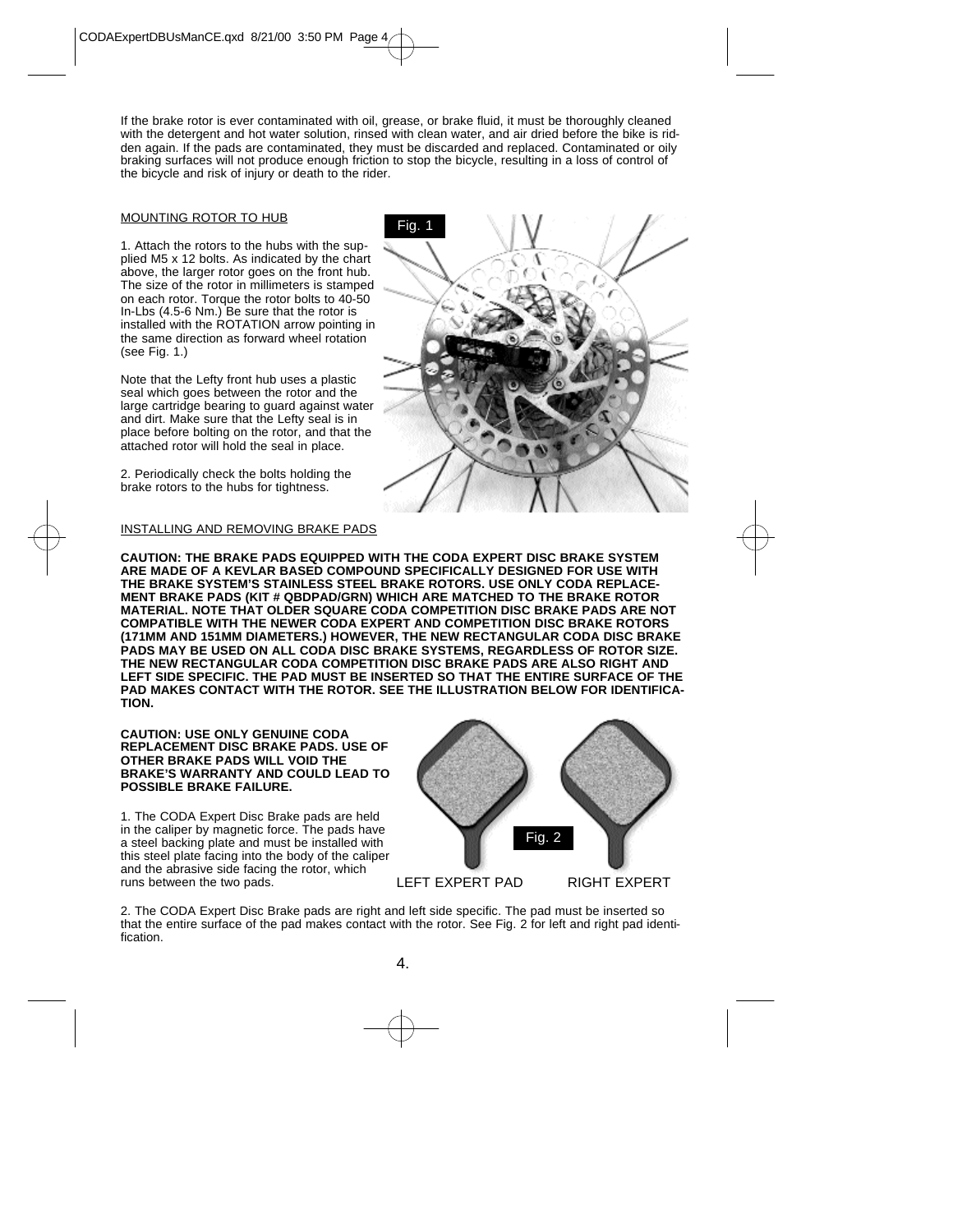If the brake rotor is ever contaminated with oil, grease, or brake fluid, it must be thoroughly cleaned with the detergent and hot water solution, rinsed with clean water, and air dried before the bike is ridden again. If the pads are contaminated, they must be discarded and replaced. Contaminated or oily braking surfaces will not produce enough friction to stop the bicycle, resulting in a loss of control of the bicycle and risk of injury or death to the rider.

#### MOUNTING ROTOR TO HUB

1. Attach the rotors to the hubs with the supplied M5 x 12 bolts. As indicated by the chart above, the larger rotor goes on the front hub. The size of the rotor in millimeters is stamped on each rotor. Torque the rotor bolts to 40-50 In-Lbs (4.5-6 Nm.) Be sure that the rotor is installed with the ROTATION arrow pointing in the same direction as forward wheel rotation (see Fig. 1.)

Note that the Lefty front hub uses a plastic seal which goes between the rotor and the large cartridge bearing to guard against water and dirt. Make sure that the Lefty seal is in place before bolting on the rotor, and that the attached rotor will hold the seal in place.

2. Periodically check the bolts holding the brake rotors to the hubs for tightness.

#### INSTALLING AND REMOVING BRAKE PADS



**CAUTION: THE BRAKE PADS EQUIPPED WITH THE CODA EXPERT DISC BRAKE SYSTEM ARE MADE OF A KEVLAR BASED COMPOUND SPECIFICALLY DESIGNED FOR USE WITH THE BRAKE SYSTEM'S STAINLESS STEEL BRAKE ROTORS. USE ONLY CODA REPLACE-MENT BRAKE PADS (KIT # QBDPAD/GRN) WHICH ARE MATCHED TO THE BRAKE ROTOR MATERIAL. NOTE THAT OLDER SQUARE CODA COMPETITION DISC BRAKE PADS ARE NOT COMPATIBLE WITH THE NEWER CODA EXPERT AND COMPETITION DISC BRAKE ROTORS (171MM AND 151MM DIAMETERS.) HOWEVER, THE NEW RECTANGULAR CODA DISC BRAKE PADS MAY BE USED ON ALL CODA DISC BRAKE SYSTEMS, REGARDLESS OF ROTOR SIZE. THE NEW RECTANGULAR CODA COMPETITION DISC BRAKE PADS ARE ALSO RIGHT AND LEFT SIDE SPECIFIC. THE PAD MUST BE INSERTED SO THAT THE ENTIRE SURFACE OF THE PAD MAKES CONTACT WITH THE ROTOR. SEE THE ILLUSTRATION BELOW FOR IDENTIFICA-TION.**

#### **CAUTION: USE ONLY GENUINE CODA REPLACEMENT DISC BRAKE PADS. USE OF OTHER BRAKE PADS WILL VOID THE BRAKE'S WARRANTY AND COULD LEAD TO POSSIBLE BRAKE FAILURE.**

1. The CODA Expert Disc Brake pads are held in the caliper by magnetic force. The pads have a steel backing plate and must be installed with this steel plate facing into the body of the caliper and the abrasive side facing the rotor, which runs between the two pads.



2. The CODA Expert Disc Brake pads are right and left side specific. The pad must be inserted so that the entire surface of the pad makes contact with the rotor. See Fig. 2 for left and right pad identification.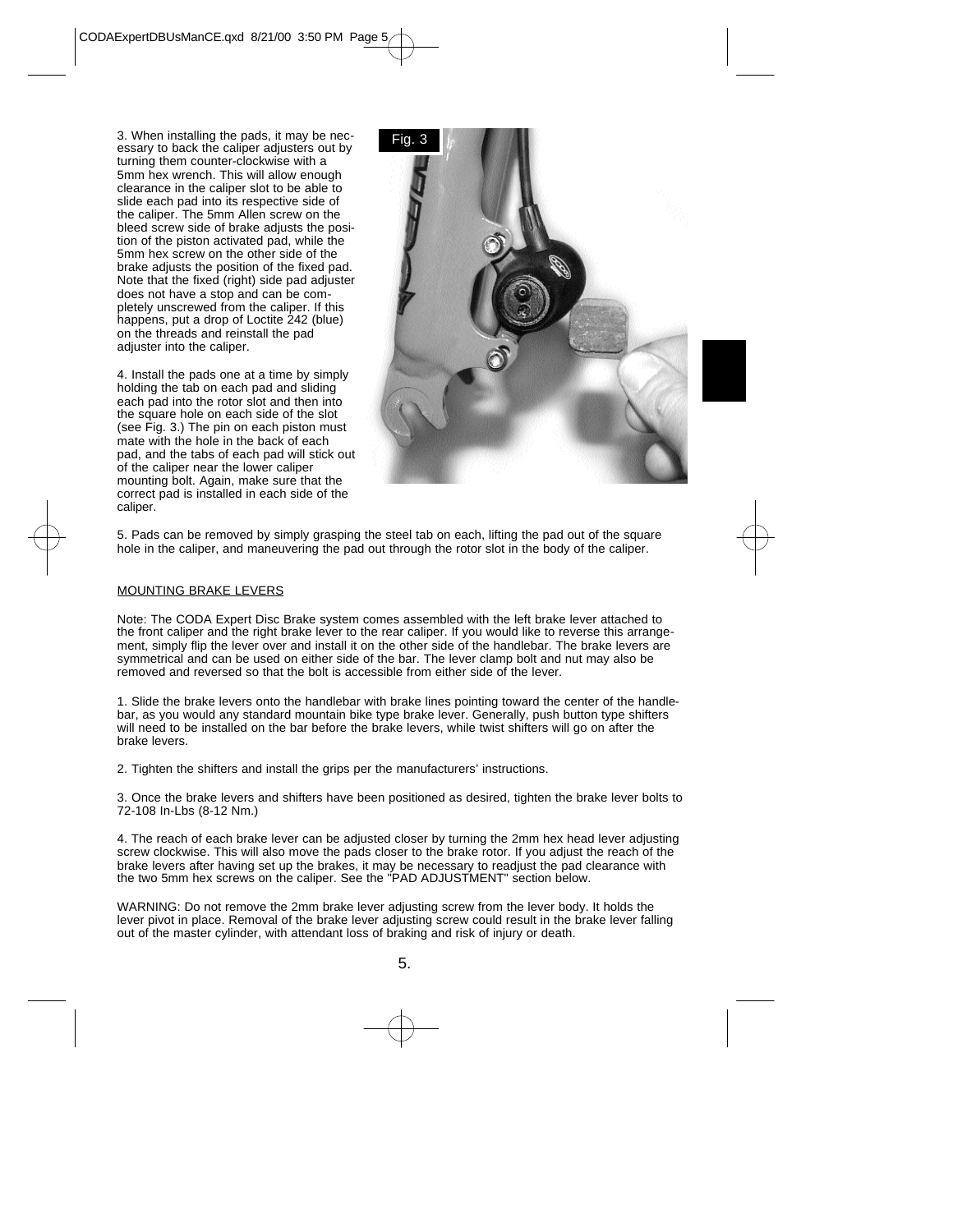3. When installing the pads, it may be necessary to back the caliper adjusters out by turning them counter-clockwise with a 5mm hex wrench. This will allow enough clearance in the caliper slot to be able to slide each pad into its respective side of the caliper. The 5mm Allen screw on the bleed screw side of brake adjusts the position of the piston activated pad, while the 5mm hex screw on the other side of the brake adjusts the position of the fixed pad. Note that the fixed (right) side pad adjuster does not have a stop and can be completely unscrewed from the caliper. If this happens, put a drop of Loctite 242 (blue) on the threads and reinstall the pad adjuster into the caliper.

4. Install the pads one at a time by simply holding the tab on each pad and sliding each pad into the rotor slot and then into the square hole on each side of the slot (see Fig. 3.) The pin on each piston must mate with the hole in the back of each pad, and the tabs of each pad will stick out of the caliper near the lower caliper mounting bolt. Again, make sure that the correct pad is installed in each side of the caliper.



5. Pads can be removed by simply grasping the steel tab on each, lifting the pad out of the square hole in the caliper, and maneuvering the pad out through the rotor slot in the body of the caliper.

#### MOUNTING BRAKE LEVERS

Note: The CODA Expert Disc Brake system comes assembled with the left brake lever attached to the front caliper and the right brake lever to the rear caliper. If you would like to reverse this arrangement, simply flip the lever over and install it on the other side of the handlebar. The brake levers are symmetrical and can be used on either side of the bar. The lever clamp bolt and nut may also be removed and reversed so that the bolt is accessible from either side of the lever.

1. Slide the brake levers onto the handlebar with brake lines pointing toward the center of the handlebar, as you would any standard mountain bike type brake lever. Generally, push button type shifters will need to be installed on the bar before the brake levers, while twist shifters will go on after the brake levers.

2. Tighten the shifters and install the grips per the manufacturers' instructions.

3. Once the brake levers and shifters have been positioned as desired, tighten the brake lever bolts to 72-108 In-Lbs (8-12 Nm.)

4. The reach of each brake lever can be adjusted closer by turning the 2mm hex head lever adjusting screw clockwise. This will also move the pads closer to the brake rotor. If you adjust the reach of the brake levers after having set up the brakes, it may be necessary to readjust the pad clearance with the two 5mm hex screws on the caliper. See the "PAD ADJUSTMENT" section below.

WARNING: Do not remove the 2mm brake lever adjusting screw from the lever body. It holds the lever pivot in place. Removal of the brake lever adjusting screw could result in the brake lever falling out of the master cylinder, with attendant loss of braking and risk of injury or death.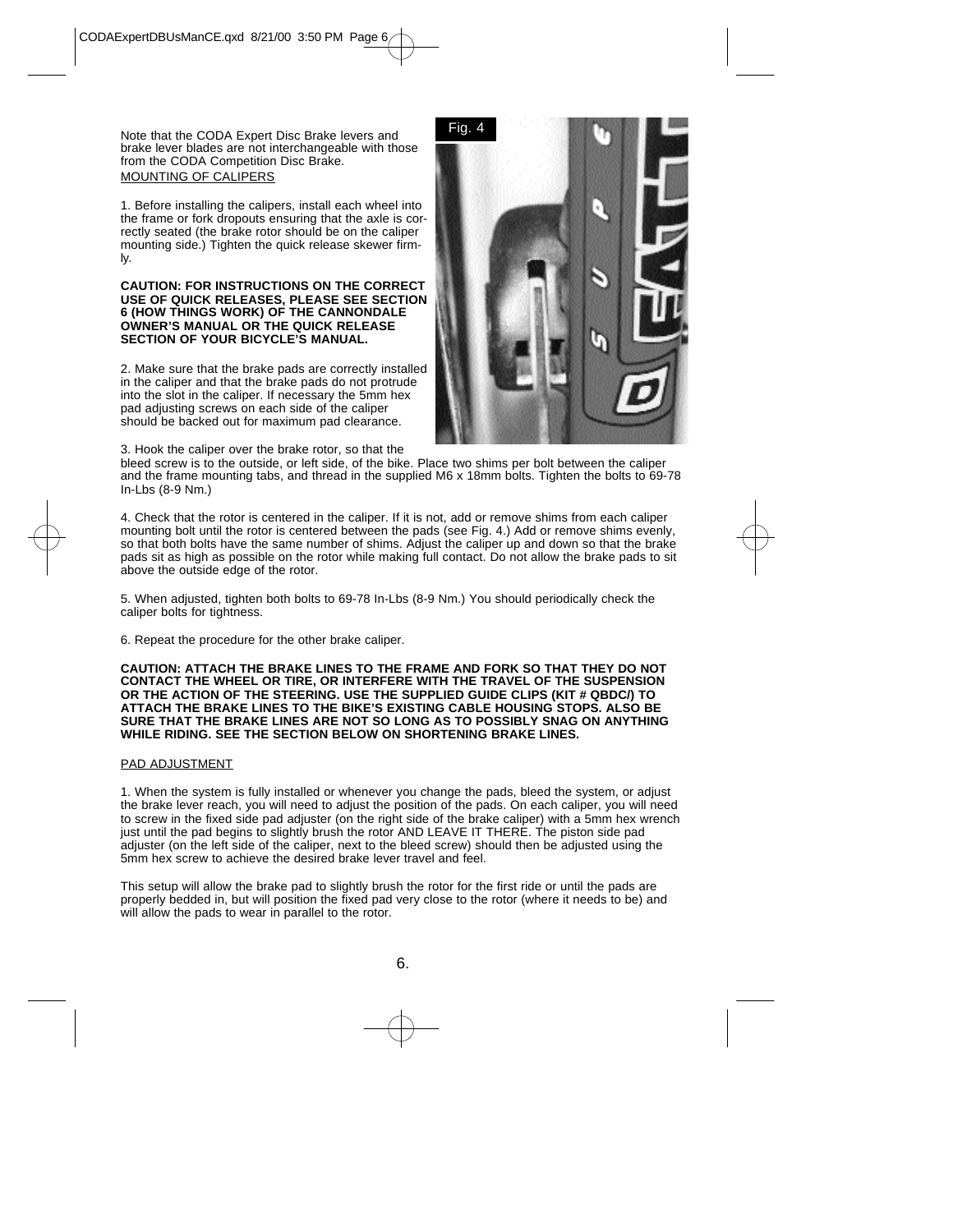Note that the CODA Expert Disc Brake levers and brake lever blades are not interchangeable with those from the CODA Competition Disc Brake. MOUNTING OF CALIPERS

1. Before installing the calipers, install each wheel into the frame or fork dropouts ensuring that the axle is correctly seated (the brake rotor should be on the caliper mounting side.) Tighten the quick release skewer firmly.

#### **CAUTION: FOR INSTRUCTIONS ON THE CORRECT USE OF QUICK RELEASES, PLEASE SEE SECTION 6 (HOW THINGS WORK) OF THE CANNONDALE OWNER'S MANUAL OR THE QUICK RELEASE SECTION OF YOUR BICYCLE'S MANUAL.**

2. Make sure that the brake pads are correctly installed in the caliper and that the brake pads do not protrude into the slot in the caliper. If necessary the 5mm hex pad adjusting screws on each side of the caliper should be backed out for maximum pad clearance.

3. Hook the caliper over the brake rotor, so that the



bleed screw is to the outside, or left side, of the bike. Place two shims per bolt between the caliper and the frame mounting tabs, and thread in the supplied M6 x 18mm bolts. Tighten the bolts to 69-78 In-Lbs (8-9 Nm.)

4. Check that the rotor is centered in the caliper. If it is not, add or remove shims from each caliper mounting bolt until the rotor is centered between the pads (see Fig. 4.) Add or remove shims evenly, so that both bolts have the same number of shims. Adjust the caliper up and down so that the brake pads sit as high as possible on the rotor while making full contact. Do not allow the brake pads to sit above the outside edge of the rotor.

5. When adjusted, tighten both bolts to 69-78 In-Lbs (8-9 Nm.) You should periodically check the caliper bolts for tightness.

6. Repeat the procedure for the other brake caliper.

**CAUTION: ATTACH THE BRAKE LINES TO THE FRAME AND FORK SO THAT THEY DO NOT CONTACT THE WHEEL OR TIRE, OR INTERFERE WITH THE TRAVEL OF THE SUSPENSION OR THE ACTION OF THE STEERING. USE THE SUPPLIED GUIDE CLIPS (KIT # QBDC/) TO ATTACH THE BRAKE LINES TO THE BIKE'S EXISTING CABLE HOUSING STOPS. ALSO BE SURE THAT THE BRAKE LINES ARE NOT SO LONG AS TO POSSIBLY SNAG ON ANYTHING WHILE RIDING. SEE THE SECTION BELOW ON SHORTENING BRAKE LINES.**

## PAD ADJUSTMENT

1. When the system is fully installed or whenever you change the pads, bleed the system, or adjust the brake lever reach, you will need to adjust the position of the pads. On each caliper, you will need to screw in the fixed side pad adjuster (on the right side of the brake caliper) with a 5mm hex wrench just until the pad begins to slightly brush the rotor AND LEAVE IT THERE. The piston side pad adjuster (on the left side of the caliper, next to the bleed screw) should then be adjusted using the 5mm hex screw to achieve the desired brake lever travel and feel.

This setup will allow the brake pad to slightly brush the rotor for the first ride or until the pads are properly bedded in, but will position the fixed pad very close to the rotor (where it needs to be) and will allow the pads to wear in parallel to the rotor.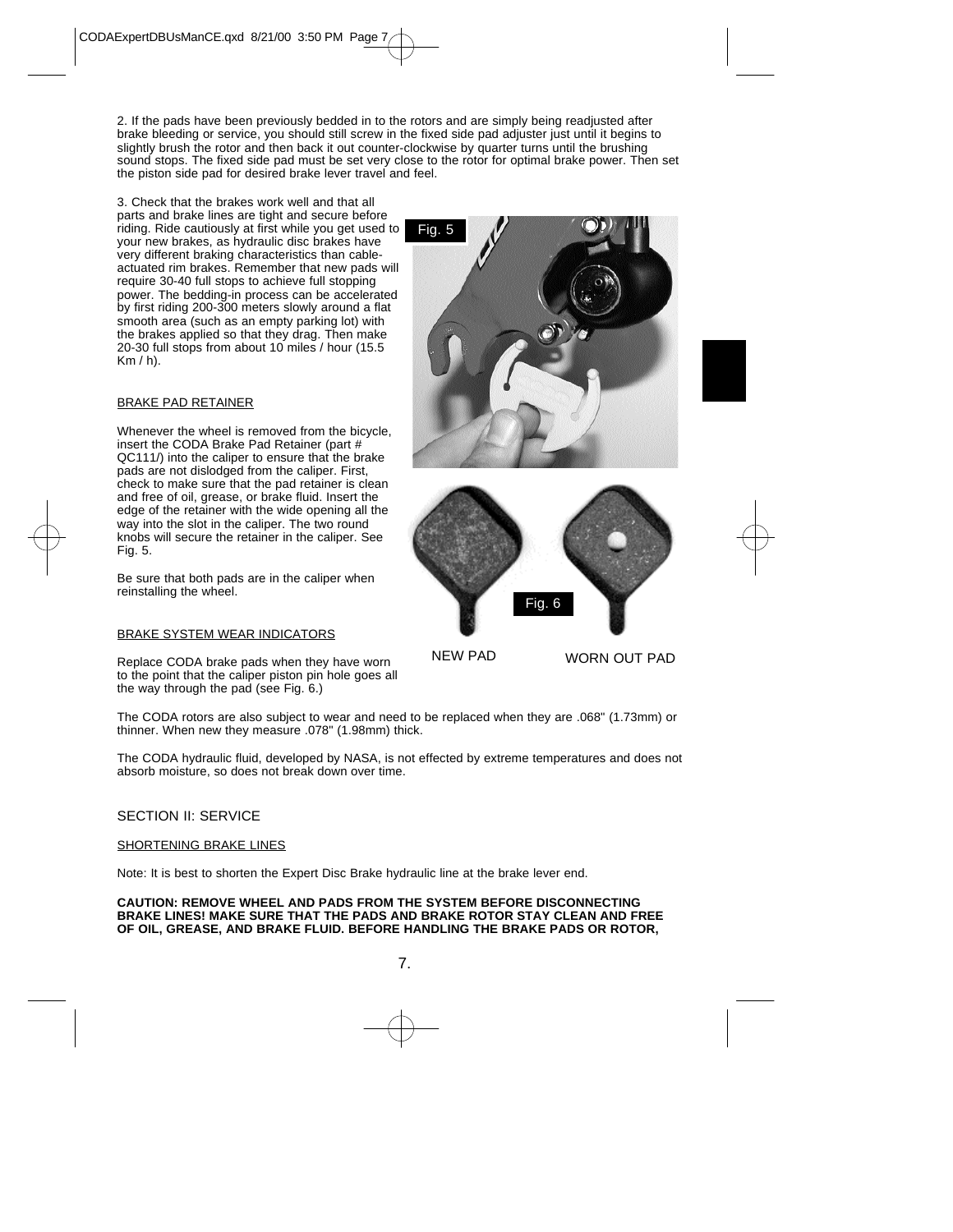2. If the pads have been previously bedded in to the rotors and are simply being readjusted after brake bleeding or service, you should still screw in the fixed side pad adjuster just until it begins to slightly brush the rotor and then back it out counter-clockwise by quarter turns until the brushing sound stops. The fixed side pad must be set very close to the rotor for optimal brake power. Then set the piston side pad for desired brake lever travel and feel.

3. Check that the brakes work well and that all parts and brake lines are tight and secure before riding. Ride cautiously at first while you get used to your new brakes, as hydraulic disc brakes have very different braking characteristics than cableactuated rim brakes. Remember that new pads will require 30-40 full stops to achieve full stopping power. The bedding-in process can be accelerated by first riding 200-300 meters slowly around a flat smooth area (such as an empty parking lot) with the brakes applied so that they drag. Then make 20-30 full stops from about 10 miles / hour (15.5  $Km / h$ ).

## BRAKE PAD RETAINER

Whenever the wheel is removed from the bicycle, insert the CODA Brake Pad Retainer (part # QC111/) into the caliper to ensure that the brake pads are not dislodged from the caliper. First, check to make sure that the pad retainer is clean and free of oil, grease, or brake fluid. Insert the edge of the retainer with the wide opening all the way into the slot in the caliper. The two round knobs will secure the retainer in the caliper. See Fig. 5.

Be sure that both pads are in the caliper when reinstalling the wheel.

#### BRAKE SYSTEM WEAR INDICATORS

Replace CODA brake pads when they have worn to the point that the caliper piston pin hole goes all the way through the pad (see Fig. 6.)

Fig. 5



NEW PAD WORN OUT PAD

The CODA rotors are also subject to wear and need to be replaced when they are .068" (1.73mm) or thinner. When new they measure .078" (1.98mm) thick.

The CODA hydraulic fluid, developed by NASA, is not effected by extreme temperatures and does not absorb moisture, so does not break down over time.

## SECTION II: SERVICE

#### SHORTENING BRAKE LINES

Note: It is best to shorten the Expert Disc Brake hydraulic line at the brake lever end.

**CAUTION: REMOVE WHEEL AND PADS FROM THE SYSTEM BEFORE DISCONNECTING BRAKE LINES! MAKE SURE THAT THE PADS AND BRAKE ROTOR STAY CLEAN AND FREE OF OIL, GREASE, AND BRAKE FLUID. BEFORE HANDLING THE BRAKE PADS OR ROTOR,**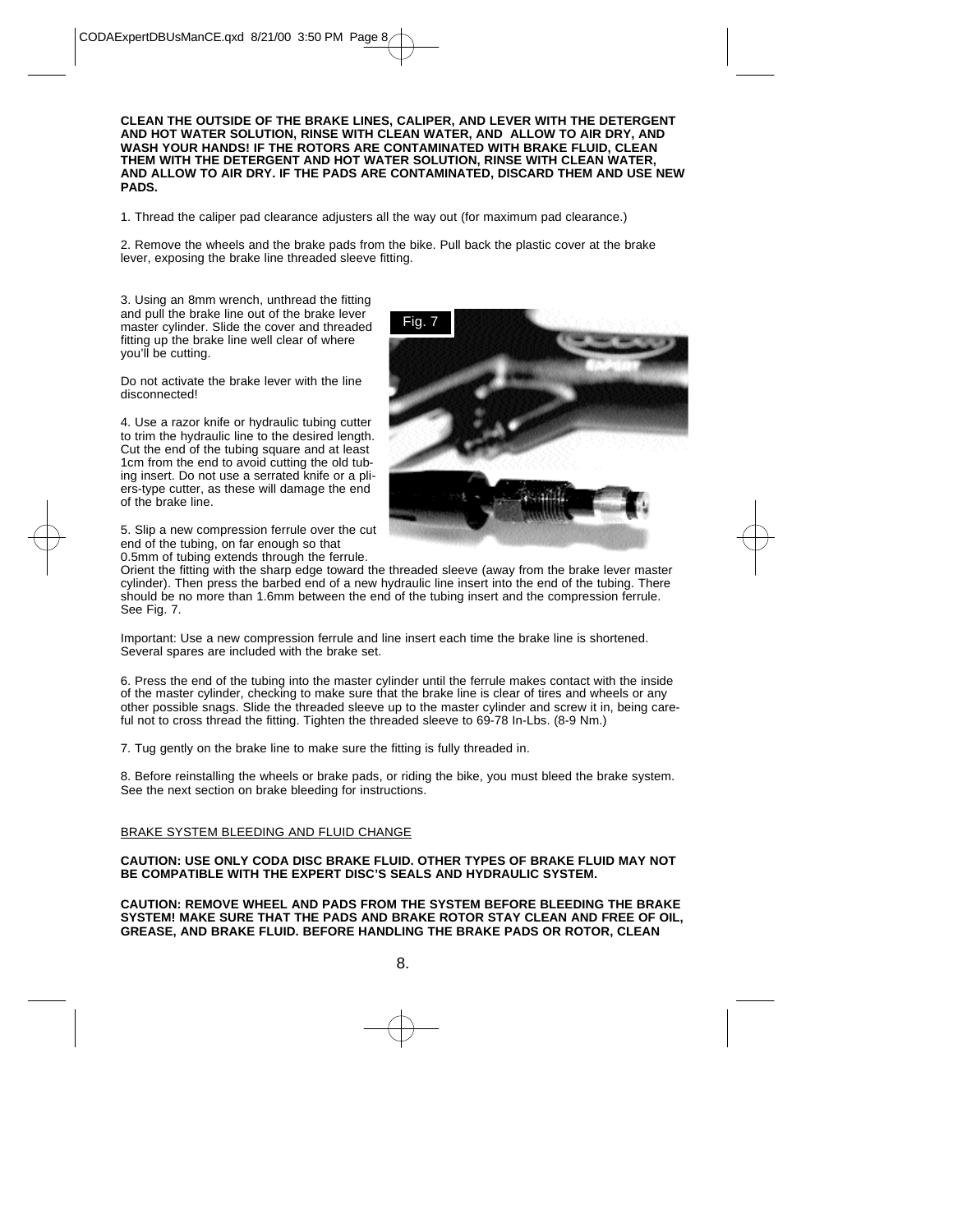**CLEAN THE OUTSIDE OF THE BRAKE LINES, CALIPER, AND LEVER WITH THE DETERGENT AND HOT WATER SOLUTION, RINSE WITH CLEAN WATER, AND ALLOW TO AIR DRY, AND WASH YOUR HANDS! IF THE ROTORS ARE CONTAMINATED WITH BRAKE FLUID, CLEAN THEM WITH THE DETERGENT AND HOT WATER SOLUTION, RINSE WITH CLEAN WATER, AND ALLOW TO AIR DRY. IF THE PADS ARE CONTAMINATED, DISCARD THEM AND USE NEW PADS.**

1. Thread the caliper pad clearance adjusters all the way out (for maximum pad clearance.)

2. Remove the wheels and the brake pads from the bike. Pull back the plastic cover at the brake lever, exposing the brake line threaded sleeve fitting.

3. Using an 8mm wrench, unthread the fitting and pull the brake line out of the brake lever master cylinder. Slide the cover and threaded fitting up the brake line well clear of where you'll be cutting.

Do not activate the brake lever with the line disconnected!

4. Use a razor knife or hydraulic tubing cutter to trim the hydraulic line to the desired length. Cut the end of the tubing square and at least 1cm from the end to avoid cutting the old tubing insert. Do not use a serrated knife or a pliers-type cutter, as these will damage the end of the brake line.

5. Slip a new compression ferrule over the cut end of the tubing, on far enough so that 0.5mm of tubing extends through the ferrule.



Orient the fitting with the sharp edge toward the threaded sleeve (away from the brake lever master cylinder). Then press the barbed end of a new hydraulic line insert into the end of the tubing. There should be no more than 1.6mm between the end of the tubing insert and the compression ferrule. See Fig. 7.

Important: Use a new compression ferrule and line insert each time the brake line is shortened. Several spares are included with the brake set.

6. Press the end of the tubing into the master cylinder until the ferrule makes contact with the inside of the master cylinder, checking to make sure that the brake line is clear of tires and wheels or any other possible snags. Slide the threaded sleeve up to the master cylinder and screw it in, being careful not to cross thread the fitting. Tighten the threaded sleeve to 69-78 In-Lbs. (8-9 Nm.)

7. Tug gently on the brake line to make sure the fitting is fully threaded in.

8. Before reinstalling the wheels or brake pads, or riding the bike, you must bleed the brake system. See the next section on brake bleeding for instructions.

## BRAKE SYSTEM BLEEDING AND FLUID CHANGE

#### **CAUTION: USE ONLY CODA DISC BRAKE FLUID. OTHER TYPES OF BRAKE FLUID MAY NOT BE COMPATIBLE WITH THE EXPERT DISC'S SEALS AND HYDRAULIC SYSTEM.**

**CAUTION: REMOVE WHEEL AND PADS FROM THE SYSTEM BEFORE BLEEDING THE BRAKE SYSTEM! MAKE SURE THAT THE PADS AND BRAKE ROTOR STAY CLEAN AND FREE OF OIL, GREASE, AND BRAKE FLUID. BEFORE HANDLING THE BRAKE PADS OR ROTOR, CLEAN**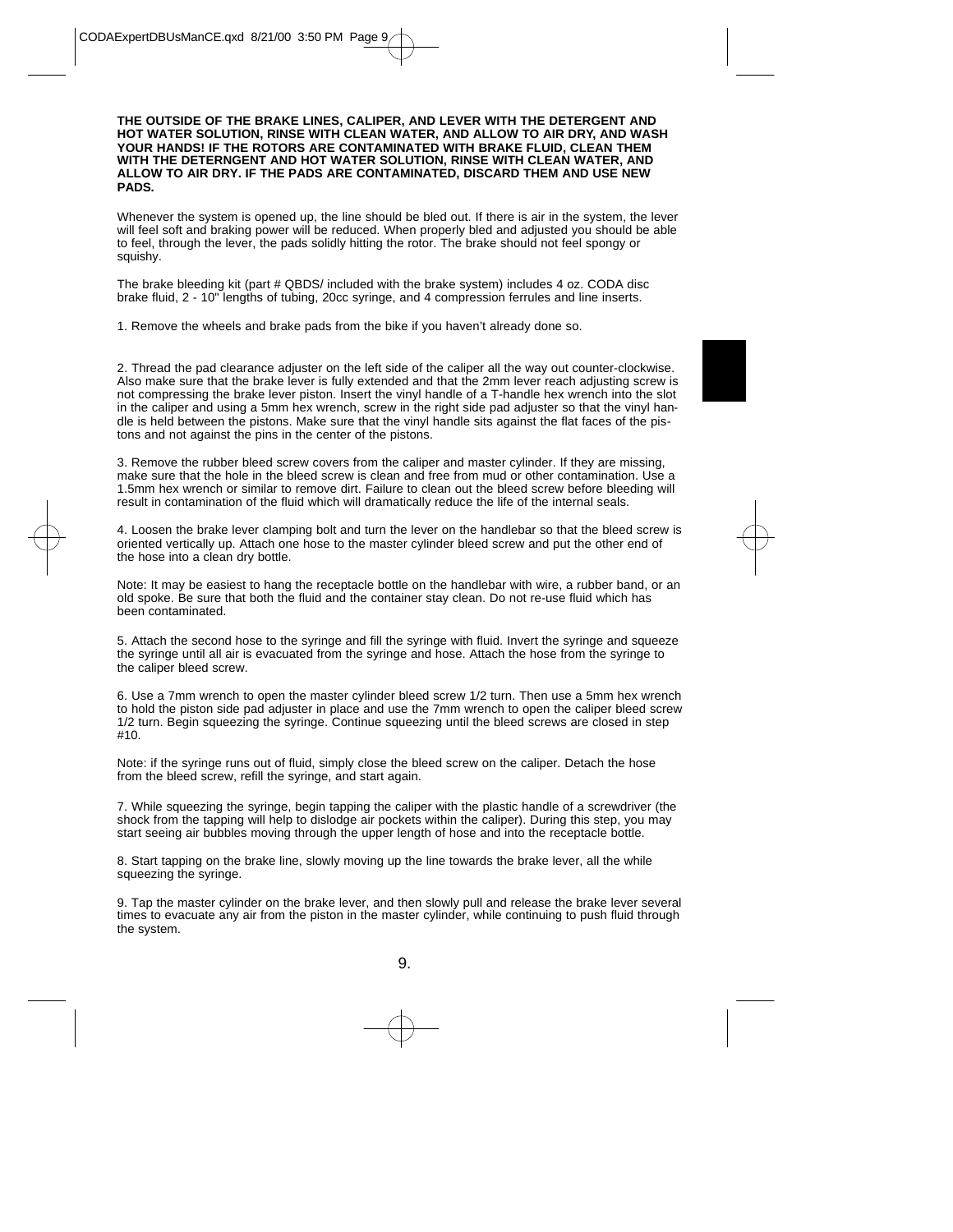#### **THE OUTSIDE OF THE BRAKE LINES, CALIPER, AND LEVER WITH THE DETERGENT AND HOT WATER SOLUTION, RINSE WITH CLEAN WATER, AND ALLOW TO AIR DRY, AND WASH YOUR HANDS! IF THE ROTORS ARE CONTAMINATED WITH BRAKE FLUID, CLEAN THEM WITH THE DETERNGENT AND HOT WATER SOLUTION, RINSE WITH CLEAN WATER, AND ALLOW TO AIR DRY. IF THE PADS ARE CONTAMINATED, DISCARD THEM AND USE NEW PADS.**

Whenever the system is opened up, the line should be bled out. If there is air in the system, the lever will feel soft and braking power will be reduced. When properly bled and adjusted you should be able to feel, through the lever, the pads solidly hitting the rotor. The brake should not feel spongy or squishy.

The brake bleeding kit (part # QBDS/ included with the brake system) includes 4 oz. CODA disc brake fluid, 2 - 10" lengths of tubing, 20cc syringe, and 4 compression ferrules and line inserts.

1. Remove the wheels and brake pads from the bike if you haven't already done so.

2. Thread the pad clearance adjuster on the left side of the caliper all the way out counter-clockwise. Also make sure that the brake lever is fully extended and that the 2mm lever reach adjusting screw is not compressing the brake lever piston. Insert the vinyl handle of a T-handle hex wrench into the slot in the caliper and using a 5mm hex wrench, screw in the right side pad adjuster so that the vinyl handle is held between the pistons. Make sure that the vinyl handle sits against the flat faces of the pistons and not against the pins in the center of the pistons.

3. Remove the rubber bleed screw covers from the caliper and master cylinder. If they are missing, make sure that the hole in the bleed screw is clean and free from mud or other contamination. Use a 1.5mm hex wrench or similar to remove dirt. Failure to clean out the bleed screw before bleeding will result in contamination of the fluid which will dramatically reduce the life of the internal seals.

4. Loosen the brake lever clamping bolt and turn the lever on the handlebar so that the bleed screw is oriented vertically up. Attach one hose to the master cylinder bleed screw and put the other end of the hose into a clean dry bottle.

Note: It may be easiest to hang the receptacle bottle on the handlebar with wire, a rubber band, or an old spoke. Be sure that both the fluid and the container stay clean. Do not re-use fluid which has been contaminated.

5. Attach the second hose to the syringe and fill the syringe with fluid. Invert the syringe and squeeze the syringe until all air is evacuated from the syringe and hose. Attach the hose from the syringe to the caliper bleed screw.

6. Use a 7mm wrench to open the master cylinder bleed screw 1/2 turn. Then use a 5mm hex wrench to hold the piston side pad adjuster in place and use the 7mm wrench to open the caliper bleed screw 1/2 turn. Begin squeezing the syringe. Continue squeezing until the bleed screws are closed in step #10.

Note: if the syringe runs out of fluid, simply close the bleed screw on the caliper. Detach the hose from the bleed screw, refill the syringe, and start again.

7. While squeezing the syringe, begin tapping the caliper with the plastic handle of a screwdriver (the shock from the tapping will help to dislodge air pockets within the caliper). During this step, you may start seeing air bubbles moving through the upper length of hose and into the receptacle bottle.

8. Start tapping on the brake line, slowly moving up the line towards the brake lever, all the while squeezing the syringe.

9. Tap the master cylinder on the brake lever, and then slowly pull and release the brake lever several times to evacuate any air from the piston in the master cylinder, while continuing to push fluid through the system.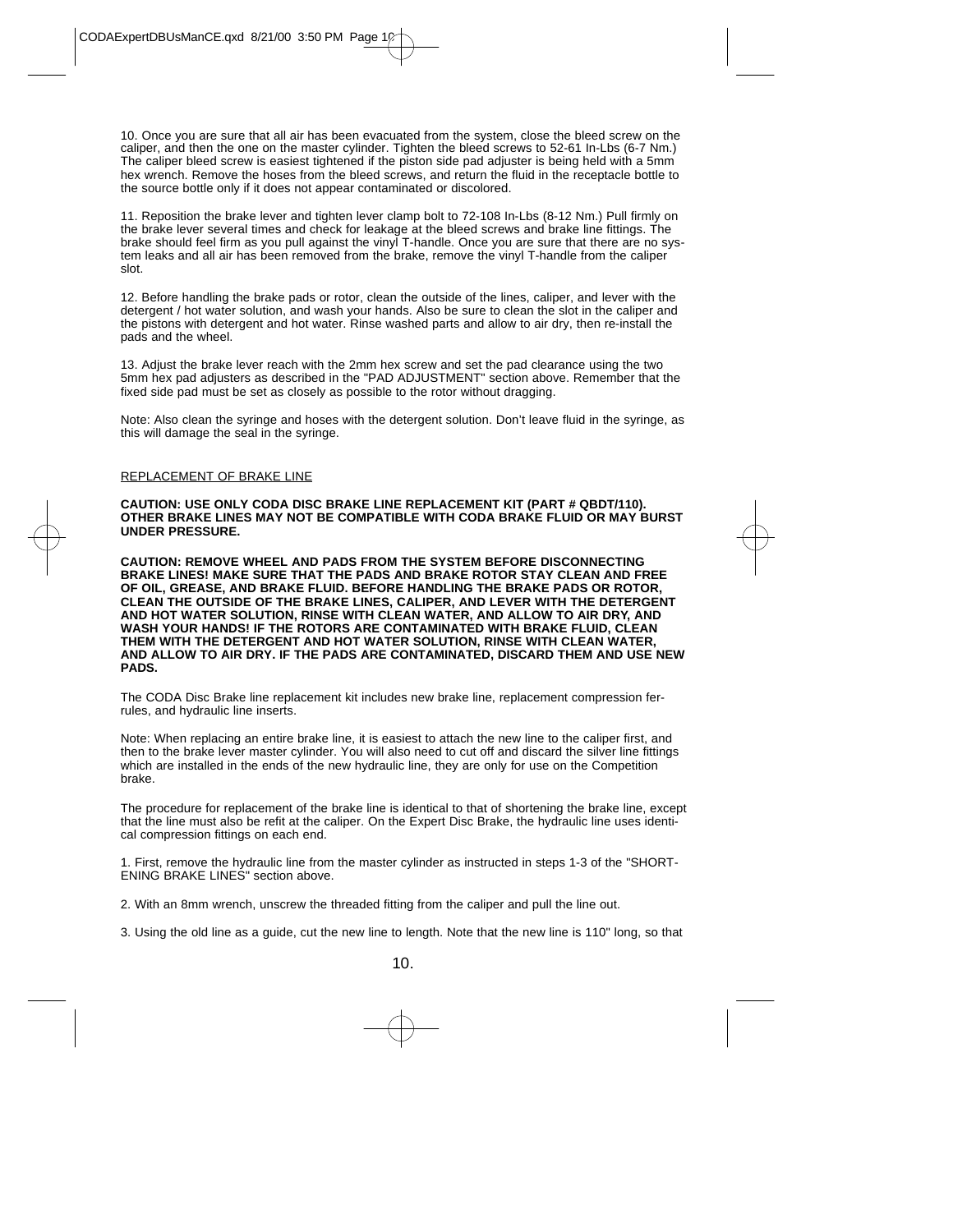10. Once you are sure that all air has been evacuated from the system, close the bleed screw on the caliper, and then the one on the master cylinder. Tighten the bleed screws to 52-61 In-Lbs (6-7 Nm.) The caliper bleed screw is easiest tightened if the piston side pad adjuster is being held with a 5mm hex wrench. Remove the hoses from the bleed screws, and return the fluid in the receptacle bottle to the source bottle only if it does not appear contaminated or discolored.

11. Reposition the brake lever and tighten lever clamp bolt to 72-108 In-Lbs (8-12 Nm.) Pull firmly on the brake lever several times and check for leakage at the bleed screws and brake line fittings. The brake should feel firm as you pull against the vinyl T-handle. Once you are sure that there are no system leaks and all air has been removed from the brake, remove the vinyl T-handle from the caliper slot.

12. Before handling the brake pads or rotor, clean the outside of the lines, caliper, and lever with the detergent / hot water solution, and wash your hands. Also be sure to clean the slot in the caliper and the pistons with detergent and hot water. Rinse washed parts and allow to air dry, then re-install the pads and the wheel.

13. Adjust the brake lever reach with the 2mm hex screw and set the pad clearance using the two 5mm hex pad adjusters as described in the "PAD ADJUSTMENT" section above. Remember that the fixed side pad must be set as closely as possible to the rotor without dragging.

Note: Also clean the syringe and hoses with the detergent solution. Don't leave fluid in the syringe, as this will damage the seal in the syringe.

#### REPLACEMENT OF BRAKE LINE

**CAUTION: USE ONLY CODA DISC BRAKE LINE REPLACEMENT KIT (PART # QBDT/110). OTHER BRAKE LINES MAY NOT BE COMPATIBLE WITH CODA BRAKE FLUID OR MAY BURST UNDER PRESSURE.**

**CAUTION: REMOVE WHEEL AND PADS FROM THE SYSTEM BEFORE DISCONNECTING BRAKE LINES! MAKE SURE THAT THE PADS AND BRAKE ROTOR STAY CLEAN AND FREE OF OIL, GREASE, AND BRAKE FLUID. BEFORE HANDLING THE BRAKE PADS OR ROTOR, CLEAN THE OUTSIDE OF THE BRAKE LINES, CALIPER, AND LEVER WITH THE DETERGENT AND HOT WATER SOLUTION, RINSE WITH CLEAN WATER, AND ALLOW TO AIR DRY, AND WASH YOUR HANDS! IF THE ROTORS ARE CONTAMINATED WITH BRAKE FLUID, CLEAN THEM WITH THE DETERGENT AND HOT WATER SOLUTION, RINSE WITH CLEAN WATER, AND ALLOW TO AIR DRY. IF THE PADS ARE CONTAMINATED, DISCARD THEM AND USE NEW PADS.**

The CODA Disc Brake line replacement kit includes new brake line, replacement compression ferrules, and hydraulic line inserts.

Note: When replacing an entire brake line, it is easiest to attach the new line to the caliper first, and then to the brake lever master cylinder. You will also need to cut off and discard the silver line fittings which are installed in the ends of the new hydraulic line, they are only for use on the Competition brake.

The procedure for replacement of the brake line is identical to that of shortening the brake line, except that the line must also be refit at the caliper. On the Expert Disc Brake, the hydraulic line uses identical compression fittings on each end.

1. First, remove the hydraulic line from the master cylinder as instructed in steps 1-3 of the "SHORT-ENING BRAKE LINES" section above.

- 2. With an 8mm wrench, unscrew the threaded fitting from the caliper and pull the line out.
- 3. Using the old line as a guide, cut the new line to length. Note that the new line is 110" long, so that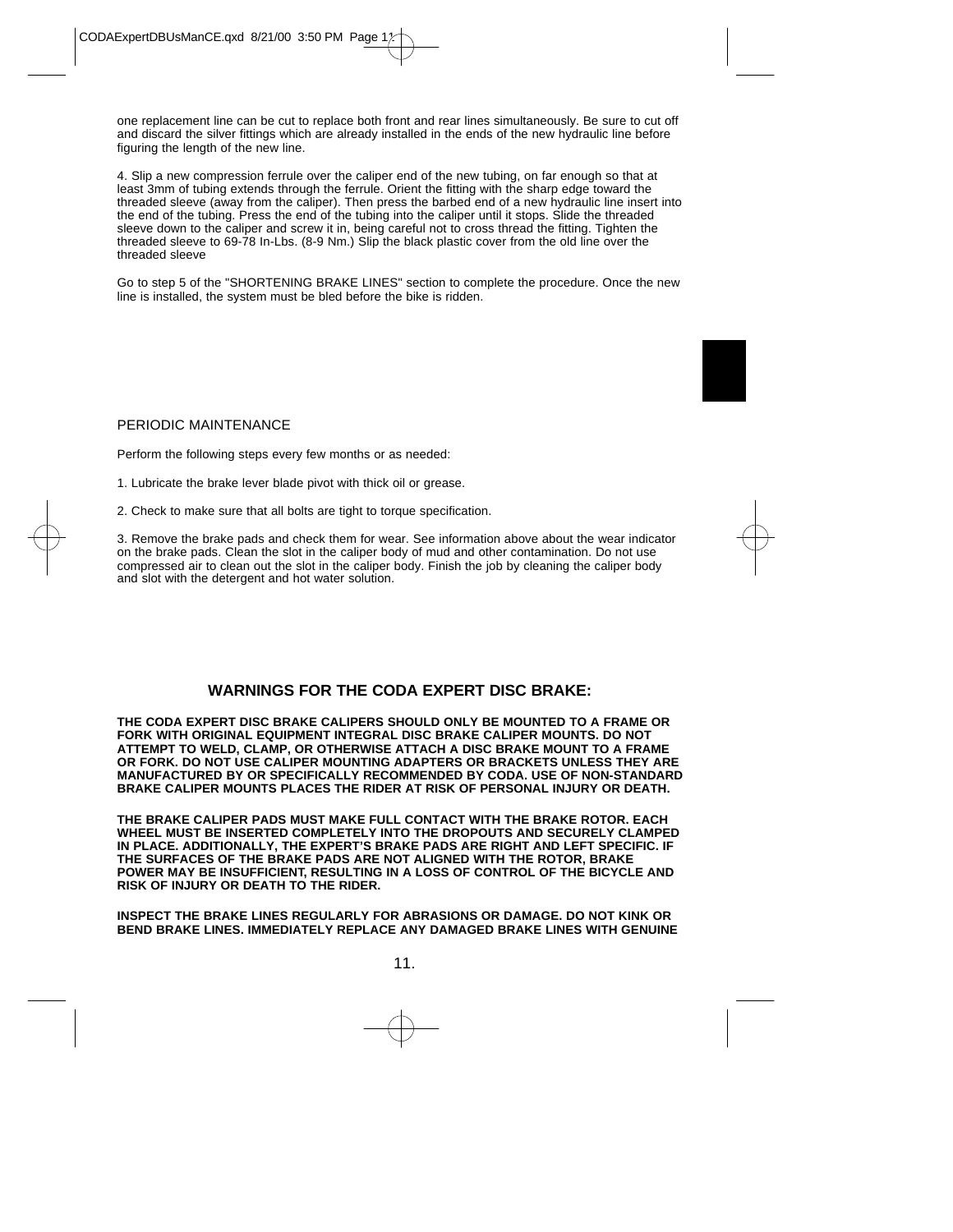one replacement line can be cut to replace both front and rear lines simultaneously. Be sure to cut off and discard the silver fittings which are already installed in the ends of the new hydraulic line before figuring the length of the new line.

4. Slip a new compression ferrule over the caliper end of the new tubing, on far enough so that at least 3mm of tubing extends through the ferrule. Orient the fitting with the sharp edge toward the threaded sleeve (away from the caliper). Then press the barbed end of a new hydraulic line insert into the end of the tubing. Press the end of the tubing into the caliper until it stops. Slide the threaded sleeve down to the caliper and screw it in, being careful not to cross thread the fitting. Tighten the threaded sleeve to 69-78 In-Lbs. (8-9 Nm.) Slip the black plastic cover from the old line over the threaded sleeve

Go to step 5 of the "SHORTENING BRAKE LINES" section to complete the procedure. Once the new line is installed, the system must be bled before the bike is ridden.

## PERIODIC MAINTENANCE

Perform the following steps every few months or as needed:

- 1. Lubricate the brake lever blade pivot with thick oil or grease.
- 2. Check to make sure that all bolts are tight to torque specification.

3. Remove the brake pads and check them for wear. See information above about the wear indicator on the brake pads. Clean the slot in the caliper body of mud and other contamination. Do not use compressed air to clean out the slot in the caliper body. Finish the job by cleaning the caliper body and slot with the detergent and hot water solution.

## **WARNINGS FOR THE CODA EXPERT DISC BRAKE:**

**THE CODA EXPERT DISC BRAKE CALIPERS SHOULD ONLY BE MOUNTED TO A FRAME OR FORK WITH ORIGINAL EQUIPMENT INTEGRAL DISC BRAKE CALIPER MOUNTS. DO NOT ATTEMPT TO WELD, CLAMP, OR OTHERWISE ATTACH A DISC BRAKE MOUNT TO A FRAME OR FORK. DO NOT USE CALIPER MOUNTING ADAPTERS OR BRACKETS UNLESS THEY ARE MANUFACTURED BY OR SPECIFICALLY RECOMMENDED BY CODA. USE OF NON-STANDARD BRAKE CALIPER MOUNTS PLACES THE RIDER AT RISK OF PERSONAL INJURY OR DEATH.** 

**THE BRAKE CALIPER PADS MUST MAKE FULL CONTACT WITH THE BRAKE ROTOR. EACH WHEEL MUST BE INSERTED COMPLETELY INTO THE DROPOUTS AND SECURELY CLAMPED IN PLACE. ADDITIONALLY, THE EXPERT'S BRAKE PADS ARE RIGHT AND LEFT SPECIFIC. IF THE SURFACES OF THE BRAKE PADS ARE NOT ALIGNED WITH THE ROTOR, BRAKE POWER MAY BE INSUFFICIENT, RESULTING IN A LOSS OF CONTROL OF THE BICYCLE AND RISK OF INJURY OR DEATH TO THE RIDER.** 

**INSPECT THE BRAKE LINES REGULARLY FOR ABRASIONS OR DAMAGE. DO NOT KINK OR BEND BRAKE LINES. IMMEDIATELY REPLACE ANY DAMAGED BRAKE LINES WITH GENUINE**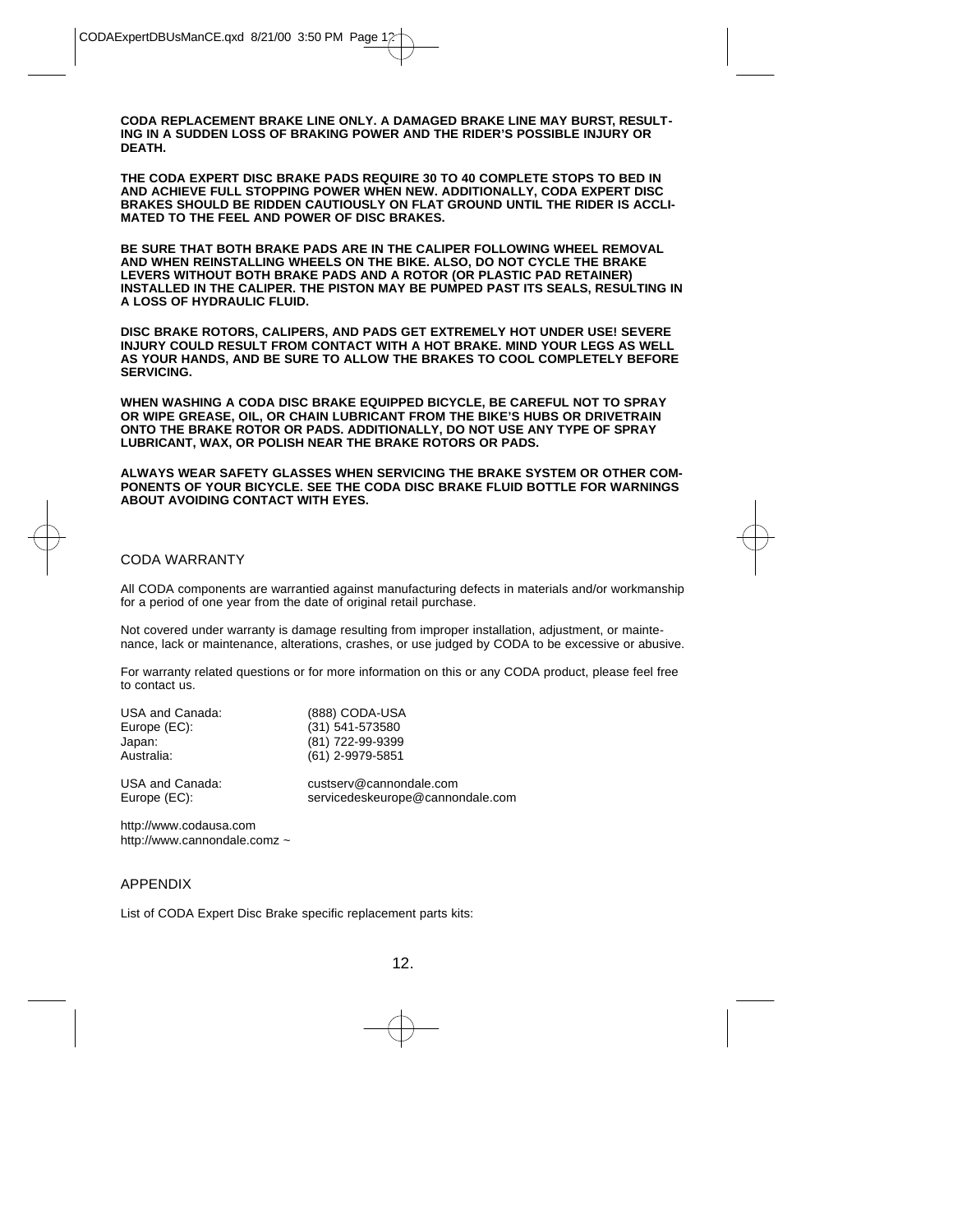**CODA REPLACEMENT BRAKE LINE ONLY. A DAMAGED BRAKE LINE MAY BURST, RESULT-ING IN A SUDDEN LOSS OF BRAKING POWER AND THE RIDER'S POSSIBLE INJURY OR DEATH.**

**THE CODA EXPERT DISC BRAKE PADS REQUIRE 30 TO 40 COMPLETE STOPS TO BED IN AND ACHIEVE FULL STOPPING POWER WHEN NEW. ADDITIONALLY, CODA EXPERT DISC BRAKES SHOULD BE RIDDEN CAUTIOUSLY ON FLAT GROUND UNTIL THE RIDER IS ACCLI-MATED TO THE FEEL AND POWER OF DISC BRAKES.**

**BE SURE THAT BOTH BRAKE PADS ARE IN THE CALIPER FOLLOWING WHEEL REMOVAL AND WHEN REINSTALLING WHEELS ON THE BIKE. ALSO, DO NOT CYCLE THE BRAKE LEVERS WITHOUT BOTH BRAKE PADS AND A ROTOR (OR PLASTIC PAD RETAINER) INSTALLED IN THE CALIPER. THE PISTON MAY BE PUMPED PAST ITS SEALS, RESULTING IN A LOSS OF HYDRAULIC FLUID.** 

**DISC BRAKE ROTORS, CALIPERS, AND PADS GET EXTREMELY HOT UNDER USE! SEVERE INJURY COULD RESULT FROM CONTACT WITH A HOT BRAKE. MIND YOUR LEGS AS WELL AS YOUR HANDS, AND BE SURE TO ALLOW THE BRAKES TO COOL COMPLETELY BEFORE SERVICING.** 

**WHEN WASHING A CODA DISC BRAKE EQUIPPED BICYCLE, BE CAREFUL NOT TO SPRAY OR WIPE GREASE, OIL, OR CHAIN LUBRICANT FROM THE BIKE'S HUBS OR DRIVETRAIN ONTO THE BRAKE ROTOR OR PADS. ADDITIONALLY, DO NOT USE ANY TYPE OF SPRAY LUBRICANT, WAX, OR POLISH NEAR THE BRAKE ROTORS OR PADS.** 

**ALWAYS WEAR SAFETY GLASSES WHEN SERVICING THE BRAKE SYSTEM OR OTHER COM-PONENTS OF YOUR BICYCLE. SEE THE CODA DISC BRAKE FLUID BOTTLE FOR WARNINGS ABOUT AVOIDING CONTACT WITH EYES.**

## CODA WARRANTY

All CODA components are warrantied against manufacturing defects in materials and/or workmanship for a period of one year from the date of original retail purchase.

Not covered under warranty is damage resulting from improper installation, adjustment, or maintenance, lack or maintenance, alterations, crashes, or use judged by CODA to be excessive or abusive.

For warranty related questions or for more information on this or any CODA product, please feel free to contact us.

| USA and Canada: | (888) CODA-USA                   |
|-----------------|----------------------------------|
| Europe (EC):    | (31) 541-573580                  |
| Japan:          | (81) 722-99-9399                 |
| Australia:      | (61) 2-9979-5851                 |
| USA and Canada: | custserv@cannondale.com          |
| Europe (EC):    | servicedeskeurope@cannondale.com |

http://www.codausa.com http://www.cannondale.comz ~

## APPENDIX

List of CODA Expert Disc Brake specific replacement parts kits: